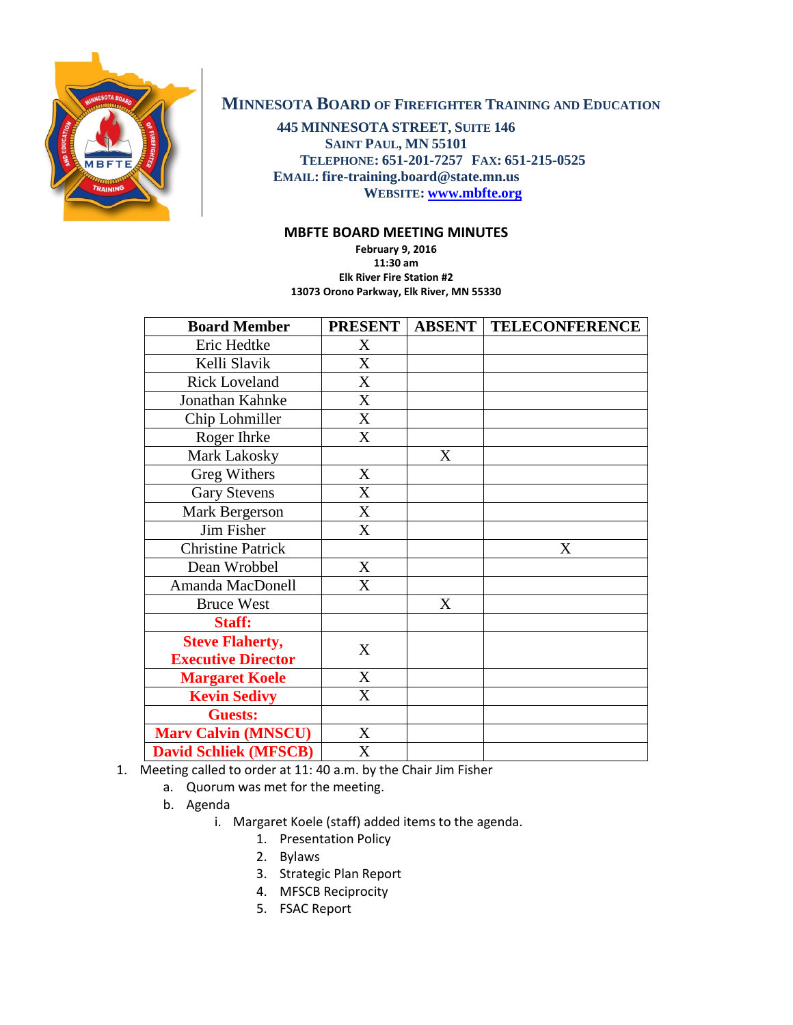

## **MINNESOTA BOARD OF FIREFIGHTER TRAINING AND EDUCATION**

**445 MINNESOTA STREET, SUITE 146 SAINT PAUL, MN 55101 TELEPHONE: 651-201-7257 FAX: 651-215-0525 EMAIL: fire-training.board@state.mn.us WEBSITE: [www.mbfte.org](http://www.mbfte.org/)**

## **MBFTE BOARD MEETING MINUTES**

**February 9, 2016 11:30 am Elk River Fire Station #2 13073 Orono Parkway, Elk River, MN 55330**

| <b>Board Member</b>          | <b>PRESENT</b> |   | <b>ABSENT   TELECONFERENCE</b> |
|------------------------------|----------------|---|--------------------------------|
| Eric Hedtke                  | X              |   |                                |
| Kelli Slavik                 | X              |   |                                |
| <b>Rick Loveland</b>         | X              |   |                                |
| Jonathan Kahnke              | X              |   |                                |
| Chip Lohmiller               | X              |   |                                |
| Roger Ihrke                  | X              |   |                                |
| Mark Lakosky                 |                | X |                                |
| <b>Greg Withers</b>          | X              |   |                                |
| <b>Gary Stevens</b>          | X              |   |                                |
| Mark Bergerson               | X              |   |                                |
| Jim Fisher                   | X              |   |                                |
| <b>Christine Patrick</b>     |                |   | X                              |
| Dean Wrobbel                 | X              |   |                                |
| Amanda MacDonell             | X              |   |                                |
| <b>Bruce West</b>            |                | X |                                |
| Staff:                       |                |   |                                |
| <b>Steve Flaherty,</b>       | X              |   |                                |
| <b>Executive Director</b>    |                |   |                                |
| <b>Margaret Koele</b>        | X              |   |                                |
| <b>Kevin Sedivy</b>          | X              |   |                                |
| <b>Guests:</b>               |                |   |                                |
| <b>Mary Calvin (MNSCU)</b>   | X              |   |                                |
| <b>David Schliek (MFSCB)</b> | X              |   |                                |

1. Meeting called to order at 11: 40 a.m. by the Chair Jim Fisher

- a. Quorum was met for the meeting.
- b. Agenda
	- i. Margaret Koele (staff) added items to the agenda.
		- 1. Presentation Policy
		- 2. Bylaws
		- 3. Strategic Plan Report
		- 4. MFSCB Reciprocity
		- 5. FSAC Report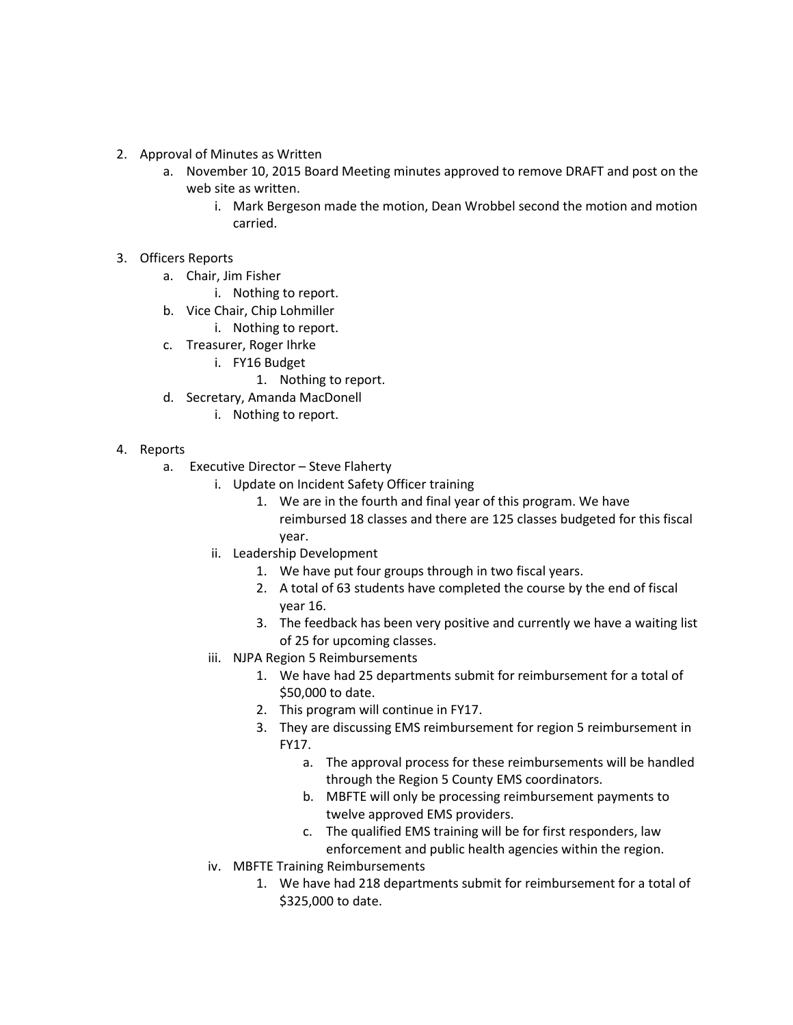- 2. Approval of Minutes as Written
	- a. November 10, 2015 Board Meeting minutes approved to remove DRAFT and post on the web site as written.
		- i. Mark Bergeson made the motion, Dean Wrobbel second the motion and motion carried.
- 3. Officers Reports
	- a. Chair, Jim Fisher
		- i. Nothing to report.
	- b. Vice Chair, Chip Lohmiller
		- i. Nothing to report.
	- c. Treasurer, Roger Ihrke
		- i. FY16 Budget
			- 1. Nothing to report.
	- d. Secretary, Amanda MacDonell
		- i. Nothing to report.
- 4. Reports
	- a. Executive Director Steve Flaherty
		- i. Update on Incident Safety Officer training
			- 1. We are in the fourth and final year of this program. We have reimbursed 18 classes and there are 125 classes budgeted for this fiscal year.
		- ii. Leadership Development
			- 1. We have put four groups through in two fiscal years.
			- 2. A total of 63 students have completed the course by the end of fiscal year 16.
			- 3. The feedback has been very positive and currently we have a waiting list of 25 for upcoming classes.
		- iii. NJPA Region 5 Reimbursements
			- 1. We have had 25 departments submit for reimbursement for a total of \$50,000 to date.
			- 2. This program will continue in FY17.
			- 3. They are discussing EMS reimbursement for region 5 reimbursement in FY17.
				- a. The approval process for these reimbursements will be handled through the Region 5 County EMS coordinators.
				- b. MBFTE will only be processing reimbursement payments to twelve approved EMS providers.
				- c. The qualified EMS training will be for first responders, law enforcement and public health agencies within the region.
		- iv. MBFTE Training Reimbursements
			- 1. We have had 218 departments submit for reimbursement for a total of \$325,000 to date.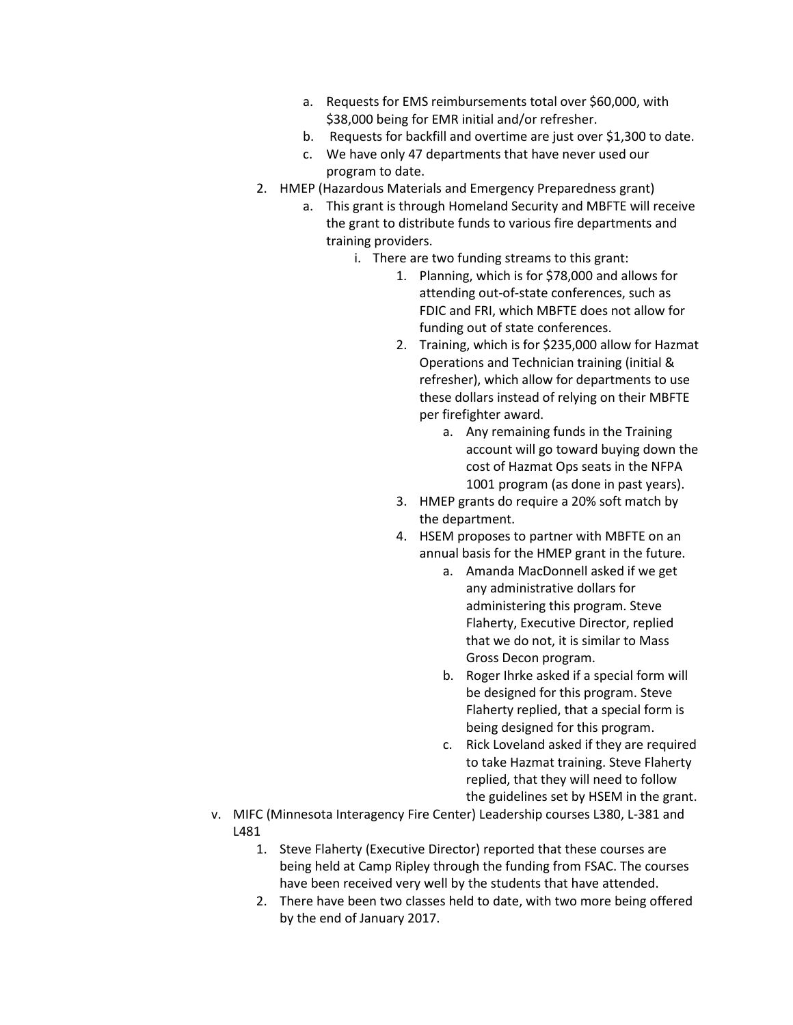- a. Requests for EMS reimbursements total over \$60,000, with \$38,000 being for EMR initial and/or refresher.
- b. Requests for backfill and overtime are just over \$1,300 to date.
- c. We have only 47 departments that have never used our program to date.
- 2. HMEP (Hazardous Materials and Emergency Preparedness grant)
	- a. This grant is through Homeland Security and MBFTE will receive the grant to distribute funds to various fire departments and training providers.
		- i. There are two funding streams to this grant:
			- 1. Planning, which is for \$78,000 and allows for attending out-of-state conferences, such as FDIC and FRI, which MBFTE does not allow for funding out of state conferences.
			- 2. Training, which is for \$235,000 allow for Hazmat Operations and Technician training (initial & refresher), which allow for departments to use these dollars instead of relying on their MBFTE per firefighter award.
				- a. Any remaining funds in the Training account will go toward buying down the cost of Hazmat Ops seats in the NFPA 1001 program (as done in past years).
			- 3. HMEP grants do require a 20% soft match by the department.
			- 4. HSEM proposes to partner with MBFTE on an annual basis for the HMEP grant in the future.
				- a. Amanda MacDonnell asked if we get any administrative dollars for administering this program. Steve Flaherty, Executive Director, replied that we do not, it is similar to Mass Gross Decon program.
				- b. Roger Ihrke asked if a special form will be designed for this program. Steve Flaherty replied, that a special form is being designed for this program.
				- c. Rick Loveland asked if they are required to take Hazmat training. Steve Flaherty replied, that they will need to follow the guidelines set by HSEM in the grant.
- v. MIFC (Minnesota Interagency Fire Center) Leadership courses L380, L-381 and L481
	- 1. Steve Flaherty (Executive Director) reported that these courses are being held at Camp Ripley through the funding from FSAC. The courses have been received very well by the students that have attended.
	- 2. There have been two classes held to date, with two more being offered by the end of January 2017.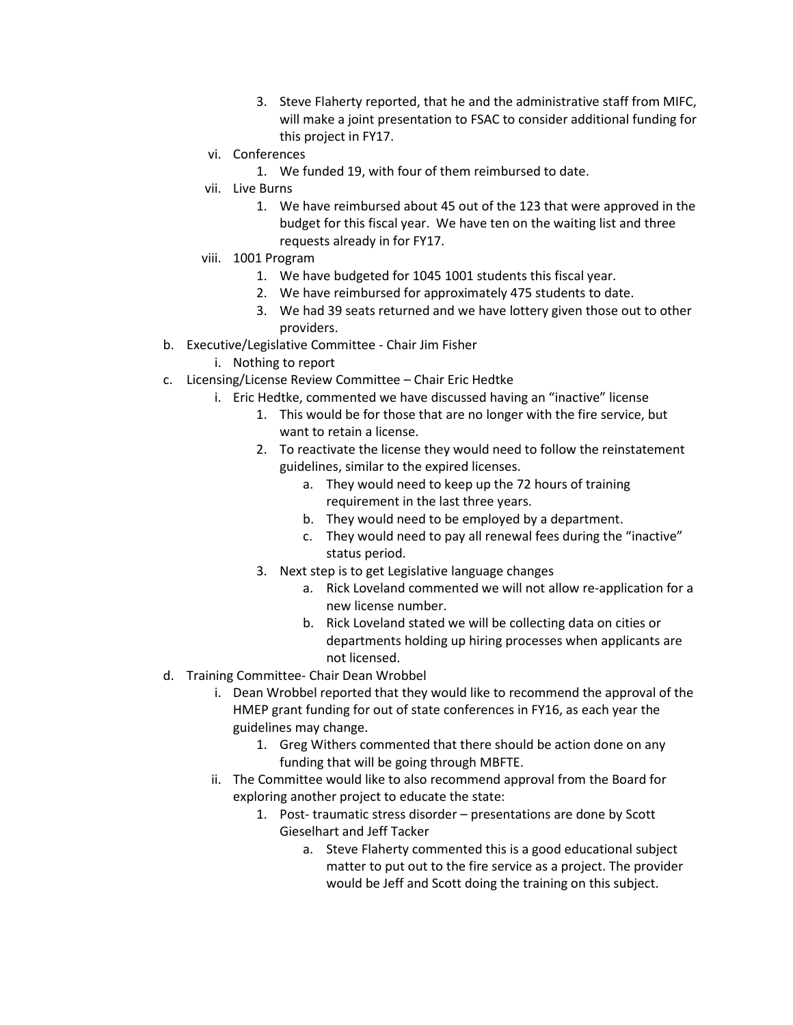- 3. Steve Flaherty reported, that he and the administrative staff from MIFC, will make a joint presentation to FSAC to consider additional funding for this project in FY17.
- vi. Conferences
	- 1. We funded 19, with four of them reimbursed to date.
- vii. Live Burns
	- 1. We have reimbursed about 45 out of the 123 that were approved in the budget for this fiscal year. We have ten on the waiting list and three requests already in for FY17.
- viii. 1001 Program
	- 1. We have budgeted for 1045 1001 students this fiscal year.
	- 2. We have reimbursed for approximately 475 students to date.
	- 3. We had 39 seats returned and we have lottery given those out to other providers.
- b. Executive/Legislative Committee Chair Jim Fisher
	- i. Nothing to report
- c. Licensing/License Review Committee Chair Eric Hedtke
	- i. Eric Hedtke, commented we have discussed having an "inactive" license
		- 1. This would be for those that are no longer with the fire service, but want to retain a license.
		- 2. To reactivate the license they would need to follow the reinstatement guidelines, similar to the expired licenses.
			- a. They would need to keep up the 72 hours of training requirement in the last three years.
			- b. They would need to be employed by a department.
			- c. They would need to pay all renewal fees during the "inactive" status period.
		- 3. Next step is to get Legislative language changes
			- a. Rick Loveland commented we will not allow re-application for a new license number.
			- b. Rick Loveland stated we will be collecting data on cities or departments holding up hiring processes when applicants are not licensed.
- d. Training Committee- Chair Dean Wrobbel
	- i. Dean Wrobbel reported that they would like to recommend the approval of the HMEP grant funding for out of state conferences in FY16, as each year the guidelines may change.
		- 1. Greg Withers commented that there should be action done on any funding that will be going through MBFTE.
	- ii. The Committee would like to also recommend approval from the Board for exploring another project to educate the state:
		- 1. Post- traumatic stress disorder presentations are done by Scott Gieselhart and Jeff Tacker
			- a. Steve Flaherty commented this is a good educational subject matter to put out to the fire service as a project. The provider would be Jeff and Scott doing the training on this subject.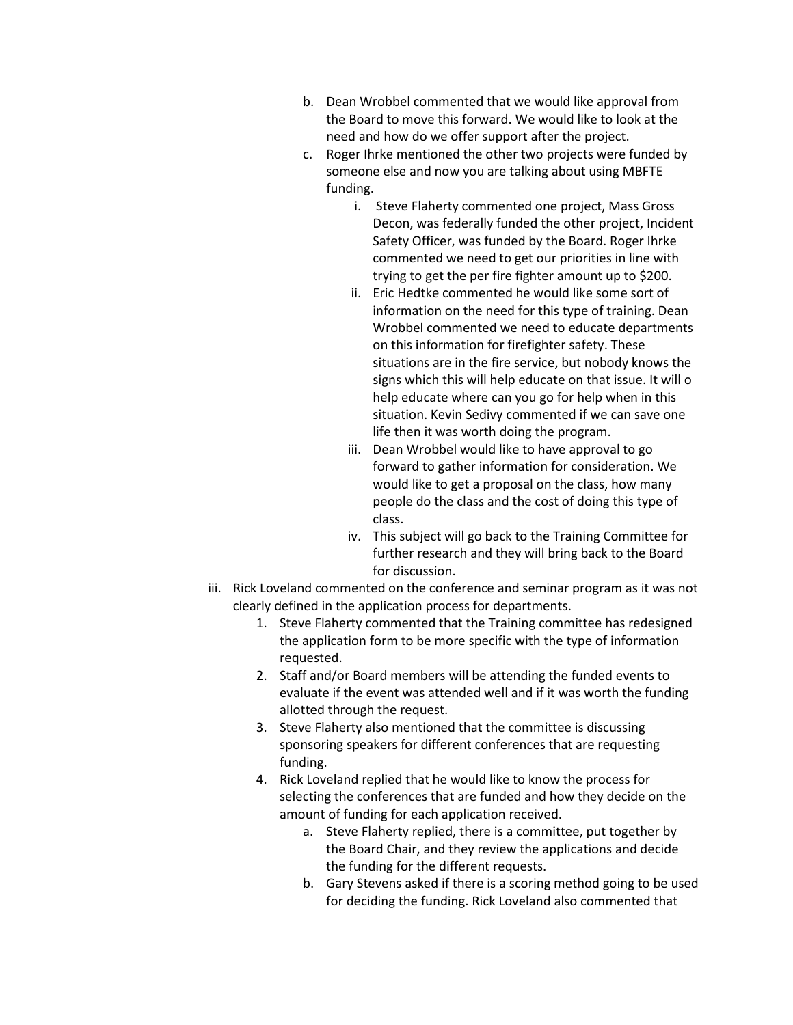- b. Dean Wrobbel commented that we would like approval from the Board to move this forward. We would like to look at the need and how do we offer support after the project.
- c. Roger Ihrke mentioned the other two projects were funded by someone else and now you are talking about using MBFTE funding.
	- i. Steve Flaherty commented one project, Mass Gross Decon, was federally funded the other project, Incident Safety Officer, was funded by the Board. Roger Ihrke commented we need to get our priorities in line with trying to get the per fire fighter amount up to \$200.
	- ii. Eric Hedtke commented he would like some sort of information on the need for this type of training. Dean Wrobbel commented we need to educate departments on this information for firefighter safety. These situations are in the fire service, but nobody knows the signs which this will help educate on that issue. It will o help educate where can you go for help when in this situation. Kevin Sedivy commented if we can save one life then it was worth doing the program.
	- iii. Dean Wrobbel would like to have approval to go forward to gather information for consideration. We would like to get a proposal on the class, how many people do the class and the cost of doing this type of class.
	- iv. This subject will go back to the Training Committee for further research and they will bring back to the Board for discussion.
- iii. Rick Loveland commented on the conference and seminar program as it was not clearly defined in the application process for departments.
	- 1. Steve Flaherty commented that the Training committee has redesigned the application form to be more specific with the type of information requested.
	- 2. Staff and/or Board members will be attending the funded events to evaluate if the event was attended well and if it was worth the funding allotted through the request.
	- 3. Steve Flaherty also mentioned that the committee is discussing sponsoring speakers for different conferences that are requesting funding.
	- 4. Rick Loveland replied that he would like to know the process for selecting the conferences that are funded and how they decide on the amount of funding for each application received.
		- a. Steve Flaherty replied, there is a committee, put together by the Board Chair, and they review the applications and decide the funding for the different requests.
		- b. Gary Stevens asked if there is a scoring method going to be used for deciding the funding. Rick Loveland also commented that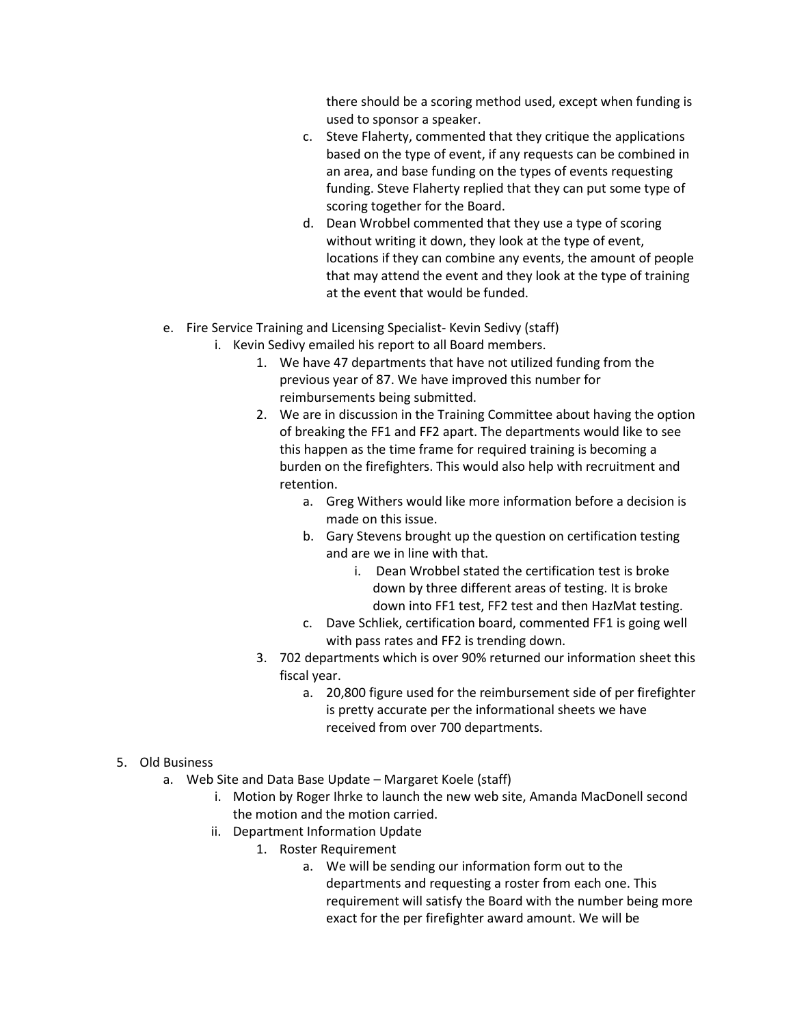there should be a scoring method used, except when funding is used to sponsor a speaker.

- c. Steve Flaherty, commented that they critique the applications based on the type of event, if any requests can be combined in an area, and base funding on the types of events requesting funding. Steve Flaherty replied that they can put some type of scoring together for the Board.
- d. Dean Wrobbel commented that they use a type of scoring without writing it down, they look at the type of event, locations if they can combine any events, the amount of people that may attend the event and they look at the type of training at the event that would be funded.
- e. Fire Service Training and Licensing Specialist- Kevin Sedivy (staff)
	- i. Kevin Sedivy emailed his report to all Board members.
		- 1. We have 47 departments that have not utilized funding from the previous year of 87. We have improved this number for reimbursements being submitted.
		- 2. We are in discussion in the Training Committee about having the option of breaking the FF1 and FF2 apart. The departments would like to see this happen as the time frame for required training is becoming a burden on the firefighters. This would also help with recruitment and retention.
			- a. Greg Withers would like more information before a decision is made on this issue.
			- b. Gary Stevens brought up the question on certification testing and are we in line with that.
				- i. Dean Wrobbel stated the certification test is broke down by three different areas of testing. It is broke down into FF1 test, FF2 test and then HazMat testing.
			- c. Dave Schliek, certification board, commented FF1 is going well with pass rates and FF2 is trending down.
		- 3. 702 departments which is over 90% returned our information sheet this fiscal year.
			- a. 20,800 figure used for the reimbursement side of per firefighter is pretty accurate per the informational sheets we have received from over 700 departments.
- 5. Old Business
	- a. Web Site and Data Base Update Margaret Koele (staff)
		- i. Motion by Roger Ihrke to launch the new web site, Amanda MacDonell second the motion and the motion carried.
		- ii. Department Information Update
			- 1. Roster Requirement
				- a. We will be sending our information form out to the departments and requesting a roster from each one. This requirement will satisfy the Board with the number being more exact for the per firefighter award amount. We will be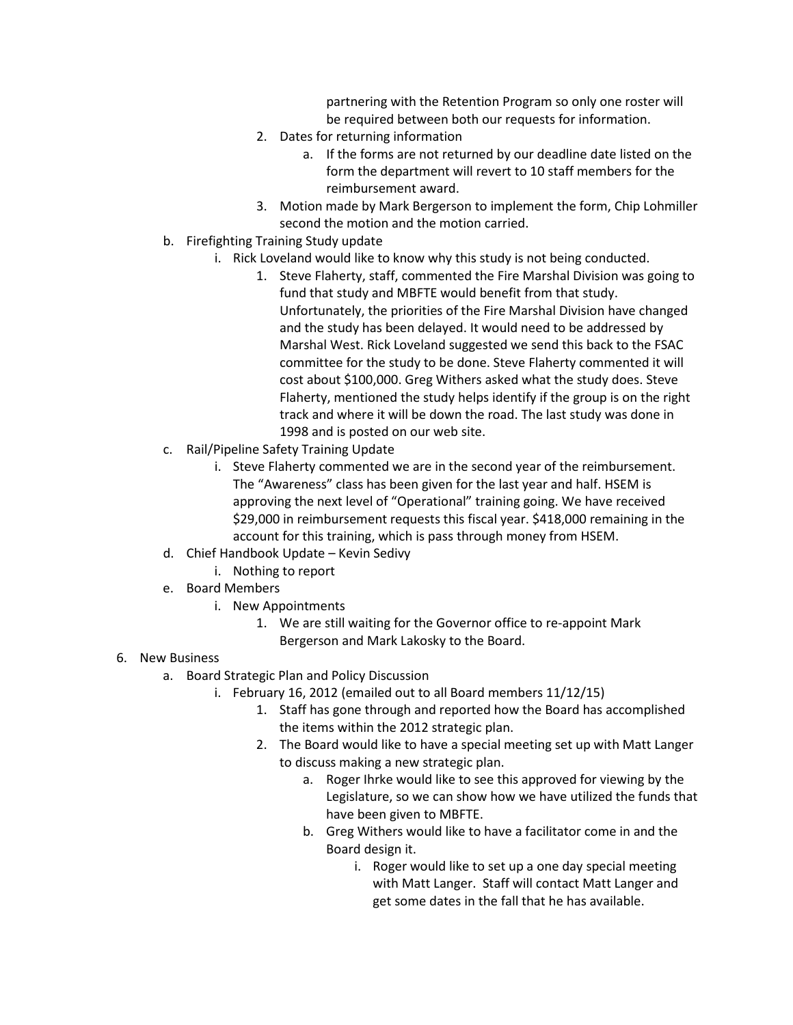partnering with the Retention Program so only one roster will be required between both our requests for information.

- 2. Dates for returning information
	- a. If the forms are not returned by our deadline date listed on the form the department will revert to 10 staff members for the reimbursement award.
- 3. Motion made by Mark Bergerson to implement the form, Chip Lohmiller second the motion and the motion carried.
- b. Firefighting Training Study update
	- i. Rick Loveland would like to know why this study is not being conducted.
		- 1. Steve Flaherty, staff, commented the Fire Marshal Division was going to fund that study and MBFTE would benefit from that study. Unfortunately, the priorities of the Fire Marshal Division have changed and the study has been delayed. It would need to be addressed by Marshal West. Rick Loveland suggested we send this back to the FSAC committee for the study to be done. Steve Flaherty commented it will cost about \$100,000. Greg Withers asked what the study does. Steve Flaherty, mentioned the study helps identify if the group is on the right track and where it will be down the road. The last study was done in 1998 and is posted on our web site.
- c. Rail/Pipeline Safety Training Update
	- i. Steve Flaherty commented we are in the second year of the reimbursement. The "Awareness" class has been given for the last year and half. HSEM is approving the next level of "Operational" training going. We have received \$29,000 in reimbursement requests this fiscal year. \$418,000 remaining in the account for this training, which is pass through money from HSEM.
- d. Chief Handbook Update Kevin Sedivy
	- i. Nothing to report
- e. Board Members
	- i. New Appointments
		- 1. We are still waiting for the Governor office to re-appoint Mark Bergerson and Mark Lakosky to the Board.
- 6. New Business
	- a. Board Strategic Plan and Policy Discussion
		- i. February 16, 2012 (emailed out to all Board members 11/12/15)
			- 1. Staff has gone through and reported how the Board has accomplished the items within the 2012 strategic plan.
			- 2. The Board would like to have a special meeting set up with Matt Langer to discuss making a new strategic plan.
				- a. Roger Ihrke would like to see this approved for viewing by the Legislature, so we can show how we have utilized the funds that have been given to MBFTE.
				- b. Greg Withers would like to have a facilitator come in and the Board design it.
					- i. Roger would like to set up a one day special meeting with Matt Langer. Staff will contact Matt Langer and get some dates in the fall that he has available.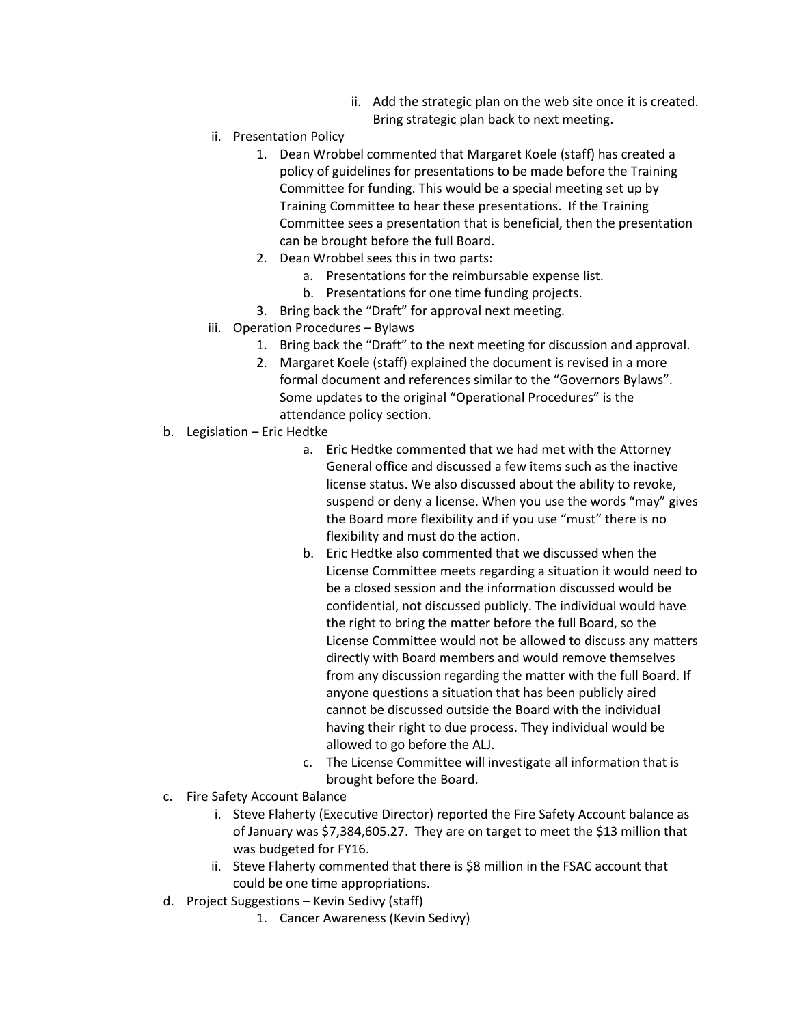- ii. Add the strategic plan on the web site once it is created. Bring strategic plan back to next meeting.
- ii. Presentation Policy
	- 1. Dean Wrobbel commented that Margaret Koele (staff) has created a policy of guidelines for presentations to be made before the Training Committee for funding. This would be a special meeting set up by Training Committee to hear these presentations. If the Training Committee sees a presentation that is beneficial, then the presentation can be brought before the full Board.
	- 2. Dean Wrobbel sees this in two parts:
		- a. Presentations for the reimbursable expense list.
		- b. Presentations for one time funding projects.
	- 3. Bring back the "Draft" for approval next meeting.
- iii. Operation Procedures Bylaws
	- 1. Bring back the "Draft" to the next meeting for discussion and approval.
	- 2. Margaret Koele (staff) explained the document is revised in a more formal document and references similar to the "Governors Bylaws". Some updates to the original "Operational Procedures" is the attendance policy section.
- b. Legislation Eric Hedtke
	- a. Eric Hedtke commented that we had met with the Attorney General office and discussed a few items such as the inactive license status. We also discussed about the ability to revoke, suspend or deny a license. When you use the words "may" gives the Board more flexibility and if you use "must" there is no flexibility and must do the action.
	- b. Eric Hedtke also commented that we discussed when the License Committee meets regarding a situation it would need to be a closed session and the information discussed would be confidential, not discussed publicly. The individual would have the right to bring the matter before the full Board, so the License Committee would not be allowed to discuss any matters directly with Board members and would remove themselves from any discussion regarding the matter with the full Board. If anyone questions a situation that has been publicly aired cannot be discussed outside the Board with the individual having their right to due process. They individual would be allowed to go before the ALJ.
	- c. The License Committee will investigate all information that is brought before the Board.
- c. Fire Safety Account Balance
	- i. Steve Flaherty (Executive Director) reported the Fire Safety Account balance as of January was \$7,384,605.27. They are on target to meet the \$13 million that was budgeted for FY16.
	- ii. Steve Flaherty commented that there is \$8 million in the FSAC account that could be one time appropriations.
- d. Project Suggestions Kevin Sedivy (staff)
	- 1. Cancer Awareness (Kevin Sedivy)